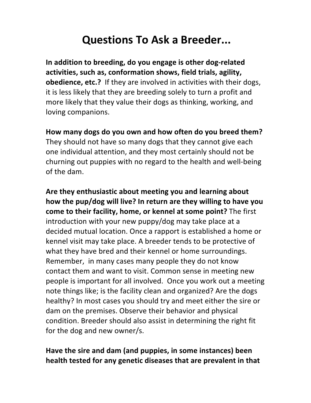## **Questions To Ask a Breeder...**

In addition to breeding, do you engage is other dog-related activities, such as, conformation shows, field trials, agility, **obedience, etc.?** If they are involved in activities with their dogs, it is less likely that they are breeding solely to turn a profit and more likely that they value their dogs as thinking, working, and loving companions.

## How many dogs do you own and how often do you breed them?

They should not have so many dogs that they cannot give each one individual attention, and they most certainly should not be churning out puppies with no regard to the health and well-being of the dam.

Are they enthusiastic about meeting you and learning about how the pup/dog will live? In return are they willing to have you **come to their facility, home, or kennel at some point?** The first introduction with your new puppy/dog may take place at a decided mutual location. Once a rapport is established a home or kennel visit may take place. A breeder tends to be protective of what they have bred and their kennel or home surroundings. Remember, in many cases many people they do not know contact them and want to visit. Common sense in meeting new people is important for all involved. Once you work out a meeting note things like; is the facility clean and organized? Are the dogs healthy? In most cases you should try and meet either the sire or dam on the premises. Observe their behavior and physical condition. Breeder should also assist in determining the right fit for the dog and new owner/s.

## Have the sire and dam (and puppies, in some instances) been **health tested** for any genetic diseases that are prevalent in that